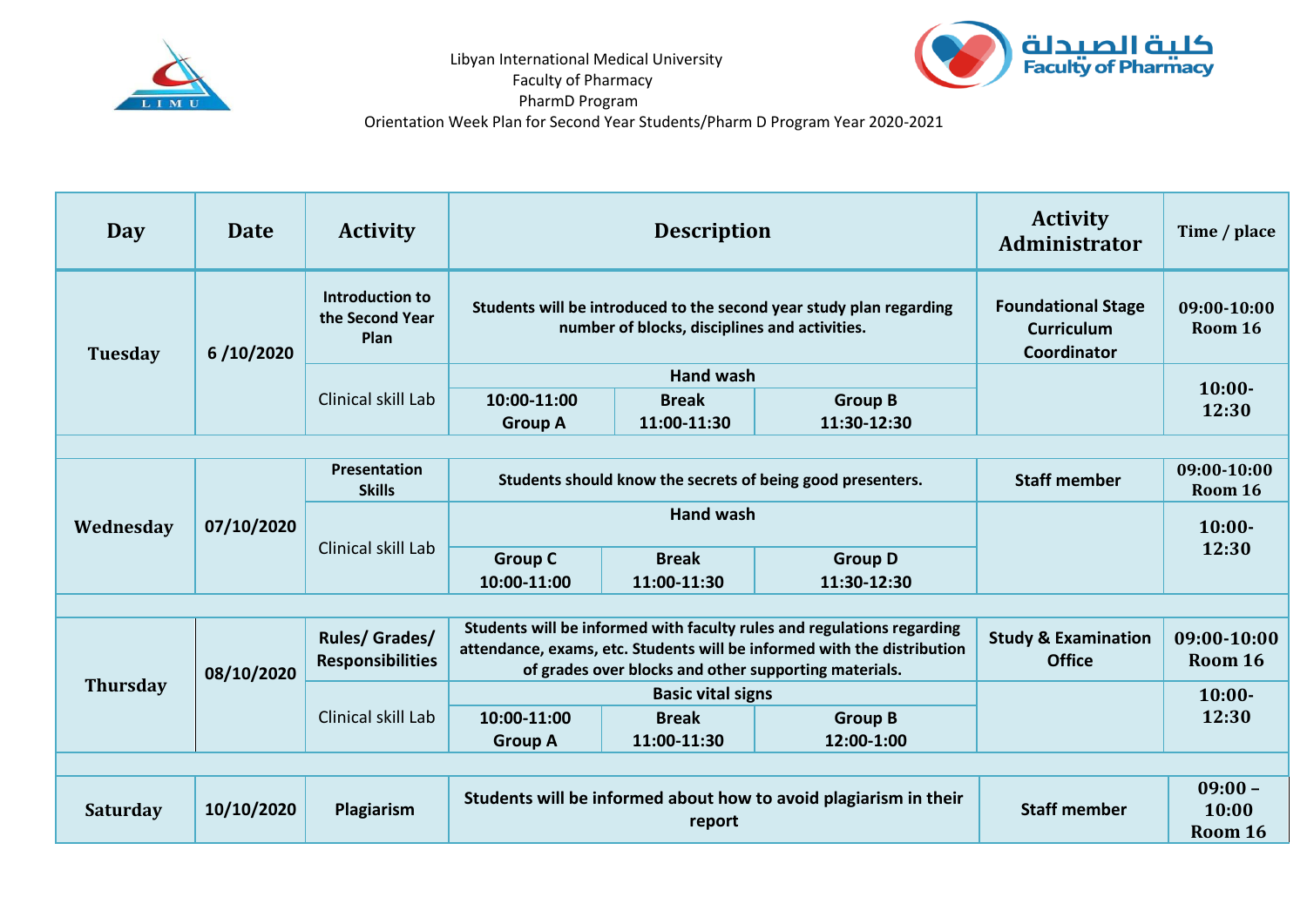

Libyan International Medical University

Faculty of Pharmacy



PharmD Program

Orientation Week Plan for Second Year Students/Pharm D Program Year 2020-2021

| Day             | <b>Date</b> | <b>Activity</b>                                   | <b>Description</b>                                                                                                                                                                                         |                             |                               | <b>Activity</b><br><b>Administrator</b>                       | Time / place                  |  |  |  |  |
|-----------------|-------------|---------------------------------------------------|------------------------------------------------------------------------------------------------------------------------------------------------------------------------------------------------------------|-----------------------------|-------------------------------|---------------------------------------------------------------|-------------------------------|--|--|--|--|
| <b>Tuesday</b>  | 6/10/2020   | Introduction to<br>the Second Year<br><b>Plan</b> | Students will be introduced to the second year study plan regarding<br>number of blocks, disciplines and activities.                                                                                       |                             |                               | <b>Foundational Stage</b><br><b>Curriculum</b><br>Coordinator | $09:00-10:00$<br>Room 16      |  |  |  |  |
|                 |             | Clinical skill Lab                                | <b>Hand wash</b>                                                                                                                                                                                           |                             |                               |                                                               | $10:00-$                      |  |  |  |  |
|                 |             |                                                   | 10:00-11:00<br><b>Group A</b>                                                                                                                                                                              | <b>Break</b><br>11:00-11:30 | <b>Group B</b><br>11:30-12:30 |                                                               | 12:30                         |  |  |  |  |
|                 |             |                                                   |                                                                                                                                                                                                            |                             |                               |                                                               |                               |  |  |  |  |
| Wednesday       | 07/10/2020  | <b>Presentation</b><br><b>Skills</b>              | Students should know the secrets of being good presenters.                                                                                                                                                 |                             |                               | <b>Staff member</b>                                           | 09:00-10:00<br>Room 16        |  |  |  |  |
|                 |             | Clinical skill Lab                                | <b>Hand wash</b>                                                                                                                                                                                           |                             |                               |                                                               | $10:00-$                      |  |  |  |  |
|                 |             |                                                   | <b>Group C</b><br>10:00-11:00                                                                                                                                                                              | <b>Break</b><br>11:00-11:30 | <b>Group D</b><br>11:30-12:30 |                                                               | 12:30                         |  |  |  |  |
|                 |             |                                                   |                                                                                                                                                                                                            |                             |                               |                                                               |                               |  |  |  |  |
| <b>Thursday</b> | 08/10/2020  | <b>Rules/Grades/</b><br><b>Responsibilities</b>   | Students will be informed with faculty rules and regulations regarding<br>attendance, exams, etc. Students will be informed with the distribution<br>of grades over blocks and other supporting materials. |                             |                               | <b>Study &amp; Examination</b><br><b>Office</b>               | 09:00-10:00<br>Room 16        |  |  |  |  |
|                 |             | Clinical skill Lab                                | <b>Basic vital signs</b>                                                                                                                                                                                   |                             |                               |                                                               | $10:00-$                      |  |  |  |  |
|                 |             |                                                   | 10:00-11:00<br><b>Group A</b>                                                                                                                                                                              | <b>Break</b><br>11:00-11:30 | <b>Group B</b><br>12:00-1:00  |                                                               | 12:30                         |  |  |  |  |
|                 |             |                                                   |                                                                                                                                                                                                            |                             |                               |                                                               |                               |  |  |  |  |
| <b>Saturday</b> | 10/10/2020  | Plagiarism                                        | Students will be informed about how to avoid plagiarism in their<br>report                                                                                                                                 |                             |                               | <b>Staff member</b>                                           | $09:00 -$<br>10:00<br>Room 16 |  |  |  |  |